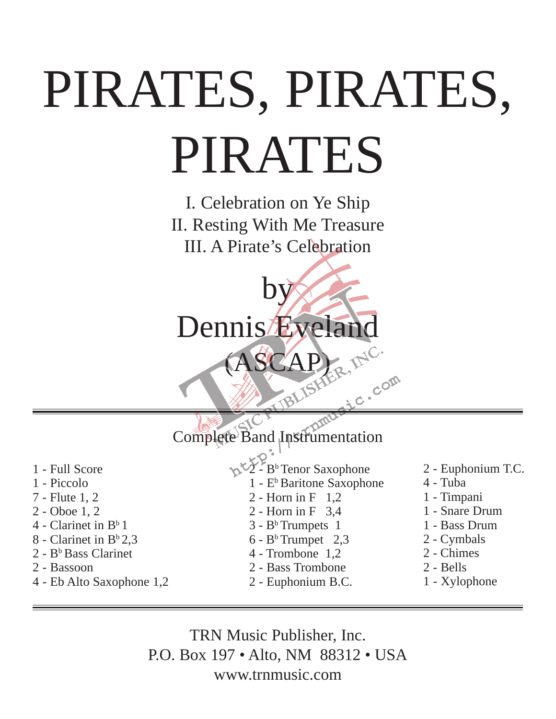# PIRATES, PIRATES, PIRATES

I. Celebration on Ye Ship II. Resting With Me Treasure III. A Pirate's Celebration

### by Dennis Evelan

(ASCAP)

Complete Band Instrumentation

1 - Full Score

- 1 Piccolo
- 7 Flute 1, 2
- 2 Oboe 1, 2
- $4$  Clarinet in  $B<sup>b</sup>1$
- 8 Clarinet in  $B<sup>b</sup> 2,3$
- 2 Bb Bass Clarinet
- 2 Bassoon
- 4 Eb Alto Saxophone 1,2
- B<sup>b</sup> Tenor Saxophone 1 - Eb Baritone Saxophone 2 - Horn in F 1,2 2 - Horn in F 3,4  $3 - B<sup>b</sup>$  Trumpets 1  $6 - B<sup>b</sup>$  Trumpet 2,3 4 - Trombone 1,2 2 - Bass Trombone 2 - Euphonium B.C.
- 2 Euphonium T.C.
- 4 Tuba
- 1 Timpani
- 1 Snare Drum
- 1 Bass Drum
- 2 Cymbals
- 2 Chimes
- 2 Bells
- 1 Xylophone

TRN Music Publisher, Inc. P.O. Box 197 • Alto, NM 88312 • USA www.trnmusic.com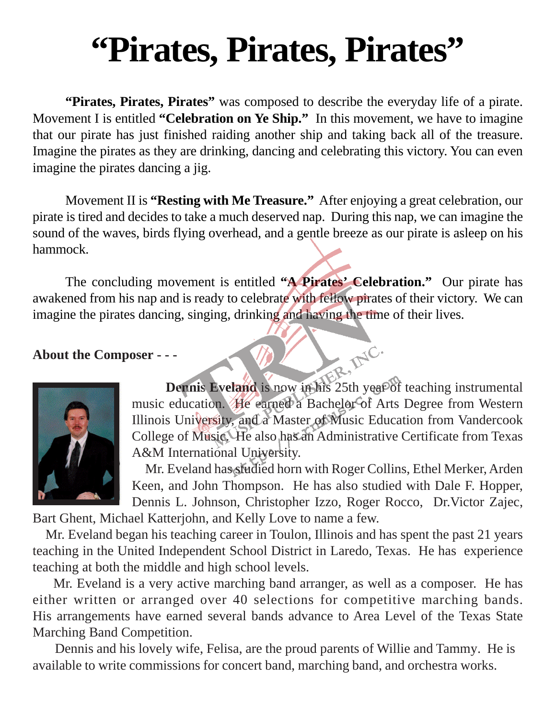## **"Pirates, Pirates, Pirates"**

**"Pirates, Pirates, Pirates"** was composed to describe the everyday life of a pirate. Movement I is entitled **"Celebration on Ye Ship."** In this movement, we have to imagine that our pirate has just finished raiding another ship and taking back all of the treasure. Imagine the pirates as they are drinking, dancing and celebrating this victory. You can even imagine the pirates dancing a jig.

Movement II is **"Resting with Me Treasure."** After enjoying a great celebration, our pirate is tired and decides to take a much deserved nap. During this nap, we can imagine the sound of the waves, birds flying overhead, and a gentle breeze as our pirate is asleep on his hammock.

The concluding movement is entitled **"A Pirates' Celebration."** Our pirate has awakened from his nap and is ready to celebrate with fellow pirates of their victory. We can imagine the pirates dancing, singing, drinking and having the time of their lives.

#### **About the Composer - - -**



**Dennis Eveland** is now in his 25th year of teaching instrumental music education. He earned a Bachelor of Arts Degree from Western Illinois University, and a Master of Music Education from Vandercook College of Music. He also has an Administrative Certificate from Texas A&M International University.

 Mr. Eveland has studied horn with Roger Collins, Ethel Merker, Arden Keen, and John Thompson. He has also studied with Dale F. Hopper, Dennis L. Johnson, Christopher Izzo, Roger Rocco, Dr.Victor Zajec,

Bart Ghent, Michael Katterjohn, and Kelly Love to name a few.

 Mr. Eveland began his teaching career in Toulon, Illinois and has spent the past 21 years teaching in the United Independent School District in Laredo, Texas. He has experience teaching at both the middle and high school levels.

 Mr. Eveland is a very active marching band arranger, as well as a composer. He has either written or arranged over 40 selections for competitive marching bands. His arrangements have earned several bands advance to Area Level of the Texas State Marching Band Competition.

 Dennis and his lovely wife, Felisa, are the proud parents of Willie and Tammy. He is available to write commissions for concert band, marching band, and orchestra works.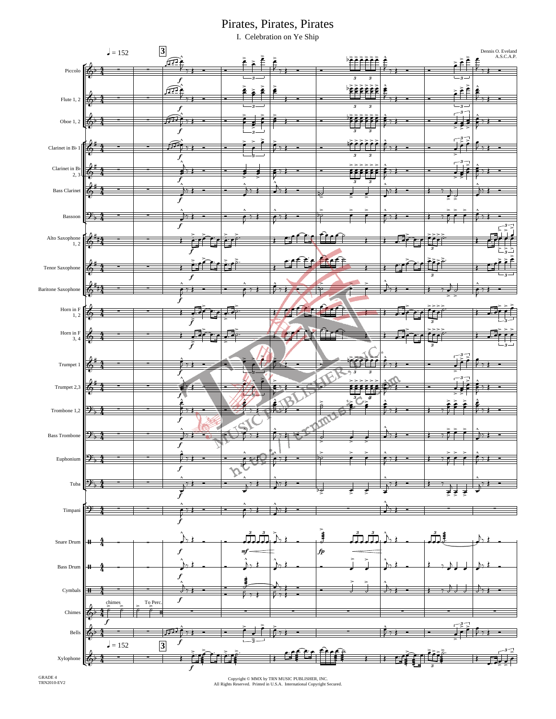#### Pirates, Pirates, Pirates



Copyright © MMX by TRN MUSIC PUBLISHER, INC. All Rights Reserved. Printed in U.S.A. International Copyright Secured.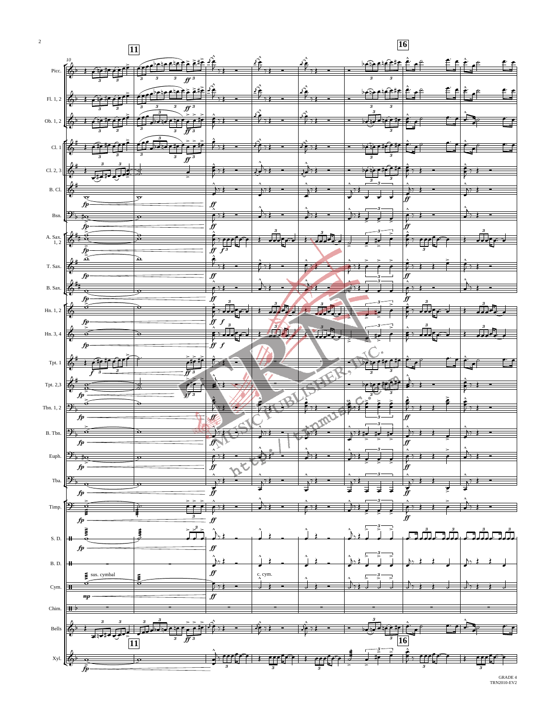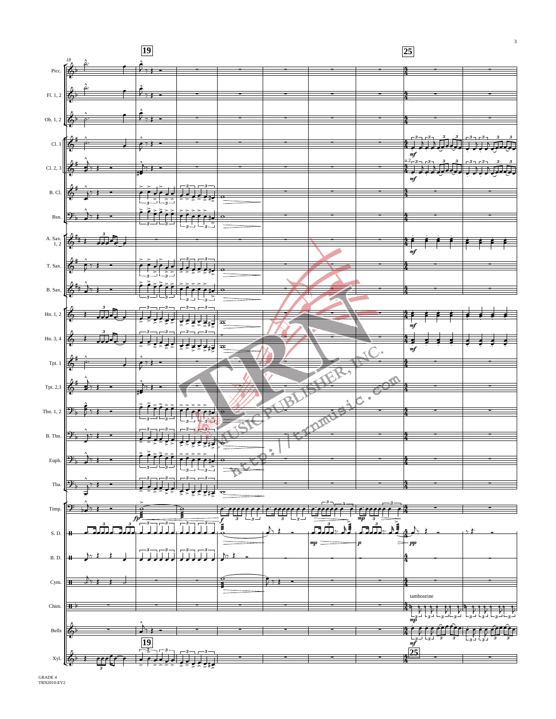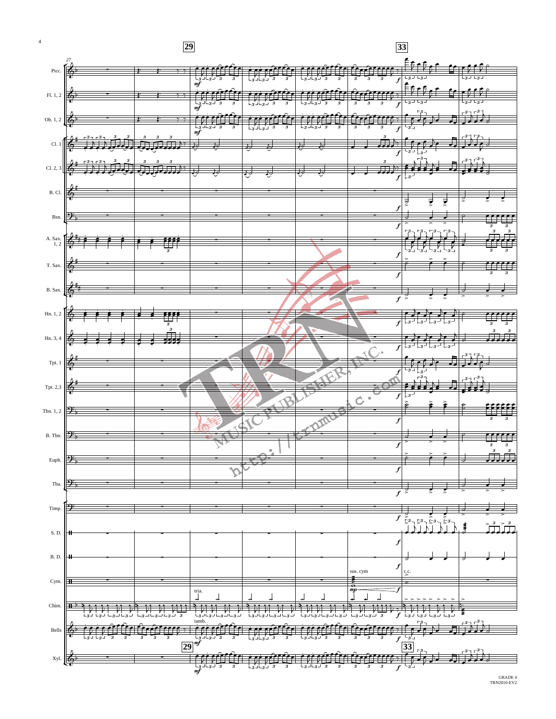

4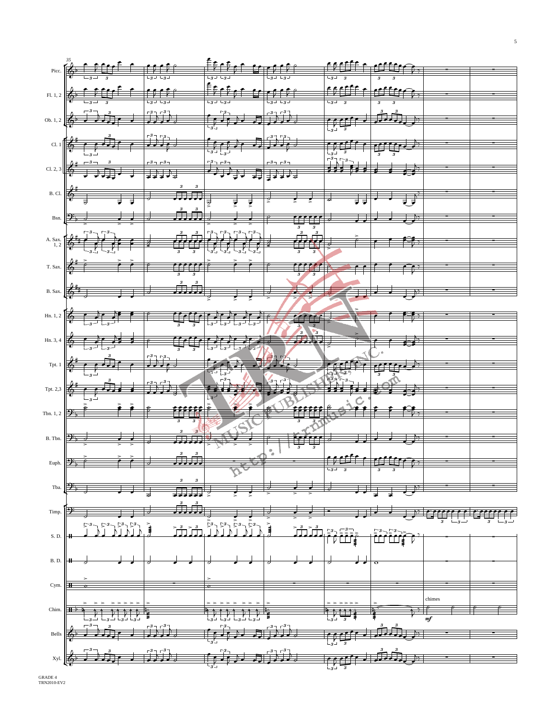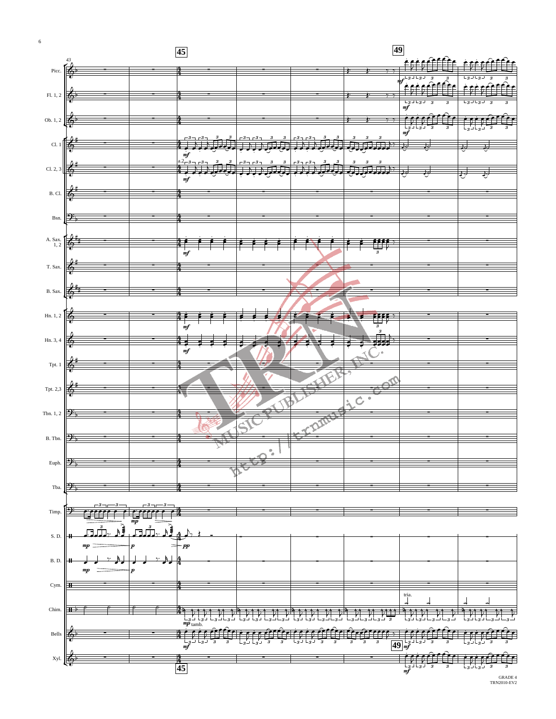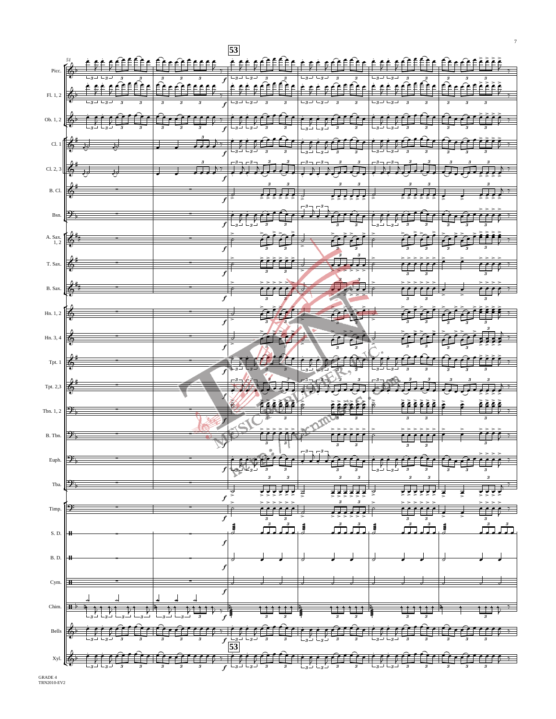|                                             | $\text{Proc.} \begin{picture}(20,10) \put(0,0){\line(1,0){15}} \put(0,0){\line(1,0){15}} \put(0,0){\line(1,0){15}} \put(0,0){\line(1,0){15}} \put(0,0){\line(1,0){15}} \put(0,0){\line(1,0){15}} \put(0,0){\line(1,0){15}} \put(0,0){\line(1,0){15}} \put(0,0){\line(1,0){15}} \put(0,0){\line(1,0){15}} \put(0,0){\line(1,0){15}} \put(0,0){\line(1,0){1$ |                                                                                                                                                                                                                                                                                                                                                                                                      |                      |               |                                                                                                             |                                     |                      |                |                                                                                                                                                                                                                                                                                                                                                                                                                                          |
|---------------------------------------------|------------------------------------------------------------------------------------------------------------------------------------------------------------------------------------------------------------------------------------------------------------------------------------------------------------------------------------------------------------|------------------------------------------------------------------------------------------------------------------------------------------------------------------------------------------------------------------------------------------------------------------------------------------------------------------------------------------------------------------------------------------------------|----------------------|---------------|-------------------------------------------------------------------------------------------------------------|-------------------------------------|----------------------|----------------|------------------------------------------------------------------------------------------------------------------------------------------------------------------------------------------------------------------------------------------------------------------------------------------------------------------------------------------------------------------------------------------------------------------------------------------|
|                                             |                                                                                                                                                                                                                                                                                                                                                            |                                                                                                                                                                                                                                                                                                                                                                                                      |                      |               |                                                                                                             |                                     |                      |                |                                                                                                                                                                                                                                                                                                                                                                                                                                          |
|                                             | $F1.1,2$                                                                                                                                                                                                                                                                                                                                                   |                                                                                                                                                                                                                                                                                                                                                                                                      |                      |               |                                                                                                             |                                     |                      |                |                                                                                                                                                                                                                                                                                                                                                                                                                                          |
|                                             |                                                                                                                                                                                                                                                                                                                                                            |                                                                                                                                                                                                                                                                                                                                                                                                      |                      |               |                                                                                                             |                                     |                      |                |                                                                                                                                                                                                                                                                                                                                                                                                                                          |
|                                             | 04.1.2 مِنْ مِنْ الْمُسْتَقِينَ فَيْ الْمُسْتَقِينَ مِنْ الْمُسْتَقِينَ وَالْمُسْتَقِينَ مِنْ الْمُسْتَقِينَ و                                                                                                                                                                                                                                             |                                                                                                                                                                                                                                                                                                                                                                                                      |                      |               |                                                                                                             |                                     |                      |                |                                                                                                                                                                                                                                                                                                                                                                                                                                          |
|                                             | Cl. 1 $\frac{1}{2}$                                                                                                                                                                                                                                                                                                                                        | $\frac{1}{\sqrt{1-\frac{1}{2}}}\sum_{\substack{1\leq i\leq 2}}\frac{1}{\sqrt{1-\frac{1}{2}}}\sum_{\substack{1\leq i\leq 2}}^n\frac{1}{\sqrt{1-\frac{1}{2}}}\sum_{\substack{1\leq i\leq 2}}^n\frac{1}{\sqrt{1-\frac{1}{2}}}\sum_{\substack{1\leq i\leq 2}}^n\frac{1}{\sqrt{1-\frac{1}{2}}}\sum_{\substack{1\leq i\leq 2}}^n\frac{1}{\sqrt{1-\frac{1}{2}}}\sum_{\substack{1\leq i\leq 2}}^n\frac{1}{\$ |                      |               |                                                                                                             |                                     |                      |                |                                                                                                                                                                                                                                                                                                                                                                                                                                          |
|                                             |                                                                                                                                                                                                                                                                                                                                                            |                                                                                                                                                                                                                                                                                                                                                                                                      |                      |               |                                                                                                             |                                     |                      |                |                                                                                                                                                                                                                                                                                                                                                                                                                                          |
|                                             | Cl. 2, 3 $\left  \left\langle \left\langle \right\rangle^{\sharp} \right\rangle$                                                                                                                                                                                                                                                                           |                                                                                                                                                                                                                                                                                                                                                                                                      |                      |               |                                                                                                             |                                     |                      |                | <u>؞؇ڣػۏۮػۮۮڮٵۯڲ۩ڋؽۯۑۣٵڔڎۭڲ۩ڿڷۯڋڸۯڋٵۯڲۯڋڸڒڋڸٲ؞ڒۮؽڎ</u>                                                                                                                                                                                                                                                                                                                                                                                   |
|                                             | $B.$ Cl. $\left \bigotimes_{i=1}^{n}$                                                                                                                                                                                                                                                                                                                      |                                                                                                                                                                                                                                                                                                                                                                                                      |                      |               | <u>اقْتَحْمَدْ وَقَدْ وَالْكَنْجَادَةُ وَالْجَنْجَادَةُ وَالْجَنْجَادَةُ وَالْجَنْجَادَةُ وَالْجَنَّجَا</u> |                                     |                      |                | <u>्र रूर्ट्टर</u>                                                                                                                                                                                                                                                                                                                                                                                                                       |
|                                             |                                                                                                                                                                                                                                                                                                                                                            |                                                                                                                                                                                                                                                                                                                                                                                                      |                      |               |                                                                                                             |                                     |                      |                |                                                                                                                                                                                                                                                                                                                                                                                                                                          |
| Bsn.                                        |                                                                                                                                                                                                                                                                                                                                                            |                                                                                                                                                                                                                                                                                                                                                                                                      |                      |               |                                                                                                             |                                     |                      |                | $\frac{1}{\sqrt{1-\frac{1}{2}+\frac{1}{2}+\frac{1}{2}}}\left(\frac{1}{\sqrt{2}}+\frac{1}{2}-\frac{1}{2}\right)^{2}+\frac{1}{2}\left(\frac{1}{2}+\frac{1}{2}\right)^{2}+\frac{1}{2}\left(\frac{1}{2}+\frac{1}{2}\right)^{2}+\frac{1}{2}\left(\frac{1}{2}+\frac{1}{2}\right)^{2}+\frac{1}{2}\left(\frac{1}{2}+\frac{1}{2}\right)^{2}+\frac{1}{2}\left(\frac{1}{2}+\frac{1}{2}\right)^{2}+\frac{1}{2}\left(\frac{1}{2}+\frac{1}{2}\right)^$ |
| A. Sax. $\left  \bigoplus_{1,2}$            |                                                                                                                                                                                                                                                                                                                                                            |                                                                                                                                                                                                                                                                                                                                                                                                      |                      |               |                                                                                                             | $\mathcal{L} \mathcal{L}$           |                      |                | $\begin{picture}(20,10) \put(0,0){\vector(1,0){30}} \put(15,0){\vector(1,0){30}} \put(15,0){\vector(1,0){30}} \put(15,0){\vector(1,0){30}} \put(15,0){\vector(1,0){30}} \put(15,0){\vector(1,0){30}} \put(15,0){\vector(1,0){30}} \put(15,0){\vector(1,0){30}} \put(15,0){\vector(1,0){30}} \put(15,0){\vector(1,0){30}} \put(15,0){\vector(1,0){30}} \put(15,0){\vector(1$                                                              |
|                                             |                                                                                                                                                                                                                                                                                                                                                            |                                                                                                                                                                                                                                                                                                                                                                                                      |                      |               |                                                                                                             |                                     |                      |                |                                                                                                                                                                                                                                                                                                                                                                                                                                          |
| $T.$ Sax. $\left \overrightarrow{G}\right $ |                                                                                                                                                                                                                                                                                                                                                            |                                                                                                                                                                                                                                                                                                                                                                                                      |                      | $\frac{1}{s}$ |                                                                                                             |                                     | $\frac{1}{\sqrt{2}}$ |                | $\left( \frac{1}{\sqrt{2}} \right)$                                                                                                                                                                                                                                                                                                                                                                                                      |
| B. Sax.                                     |                                                                                                                                                                                                                                                                                                                                                            |                                                                                                                                                                                                                                                                                                                                                                                                      | $\frac{1}{\sqrt{2}}$ |               |                                                                                                             |                                     |                      |                |                                                                                                                                                                                                                                                                                                                                                                                                                                          |
|                                             |                                                                                                                                                                                                                                                                                                                                                            |                                                                                                                                                                                                                                                                                                                                                                                                      |                      |               |                                                                                                             |                                     |                      |                |                                                                                                                                                                                                                                                                                                                                                                                                                                          |
| Hn. 1, 2                                    |                                                                                                                                                                                                                                                                                                                                                            |                                                                                                                                                                                                                                                                                                                                                                                                      |                      | <b>allit</b>  | f                                                                                                           |                                     |                      |                |                                                                                                                                                                                                                                                                                                                                                                                                                                          |
| Hn. 3, 4 $\overline{\mathbf{6}}$            |                                                                                                                                                                                                                                                                                                                                                            |                                                                                                                                                                                                                                                                                                                                                                                                      |                      |               |                                                                                                             |                                     |                      |                |                                                                                                                                                                                                                                                                                                                                                                                                                                          |
|                                             |                                                                                                                                                                                                                                                                                                                                                            |                                                                                                                                                                                                                                                                                                                                                                                                      |                      |               |                                                                                                             | $\bigoplus$ $\bigoplus$ $\bigoplus$ |                      |                |                                                                                                                                                                                                                                                                                                                                                                                                                                          |
| Tpt. 1                                      |                                                                                                                                                                                                                                                                                                                                                            |                                                                                                                                                                                                                                                                                                                                                                                                      |                      |               |                                                                                                             |                                     |                      |                | $\frac{1}{3}$                                                                                                                                                                                                                                                                                                                                                                                                                            |
|                                             |                                                                                                                                                                                                                                                                                                                                                            |                                                                                                                                                                                                                                                                                                                                                                                                      |                      |               |                                                                                                             |                                     |                      |                |                                                                                                                                                                                                                                                                                                                                                                                                                                          |
|                                             | Tpt. 2,3                                                                                                                                                                                                                                                                                                                                                   |                                                                                                                                                                                                                                                                                                                                                                                                      |                      |               |                                                                                                             |                                     |                      |                |                                                                                                                                                                                                                                                                                                                                                                                                                                          |
| Tbn. 1, 2                                   |                                                                                                                                                                                                                                                                                                                                                            |                                                                                                                                                                                                                                                                                                                                                                                                      |                      |               |                                                                                                             |                                     |                      |                |                                                                                                                                                                                                                                                                                                                                                                                                                                          |
|                                             |                                                                                                                                                                                                                                                                                                                                                            |                                                                                                                                                                                                                                                                                                                                                                                                      |                      |               |                                                                                                             |                                     |                      |                |                                                                                                                                                                                                                                                                                                                                                                                                                                          |
| B. Tbn.                                     |                                                                                                                                                                                                                                                                                                                                                            |                                                                                                                                                                                                                                                                                                                                                                                                      |                      |               |                                                                                                             |                                     |                      | <u>errer f</u> |                                                                                                                                                                                                                                                                                                                                                                                                                                          |
| Euph.                                       |                                                                                                                                                                                                                                                                                                                                                            |                                                                                                                                                                                                                                                                                                                                                                                                      |                      |               |                                                                                                             |                                     |                      |                |                                                                                                                                                                                                                                                                                                                                                                                                                                          |
|                                             |                                                                                                                                                                                                                                                                                                                                                            |                                                                                                                                                                                                                                                                                                                                                                                                      |                      |               |                                                                                                             |                                     |                      |                |                                                                                                                                                                                                                                                                                                                                                                                                                                          |
| Tba.                                        |                                                                                                                                                                                                                                                                                                                                                            |                                                                                                                                                                                                                                                                                                                                                                                                      |                      |               |                                                                                                             |                                     |                      |                |                                                                                                                                                                                                                                                                                                                                                                                                                                          |
| Timp.                                       |                                                                                                                                                                                                                                                                                                                                                            |                                                                                                                                                                                                                                                                                                                                                                                                      |                      |               |                                                                                                             |                                     |                      |                |                                                                                                                                                                                                                                                                                                                                                                                                                                          |
|                                             |                                                                                                                                                                                                                                                                                                                                                            |                                                                                                                                                                                                                                                                                                                                                                                                      |                      |               |                                                                                                             |                                     |                      |                |                                                                                                                                                                                                                                                                                                                                                                                                                                          |
| S. D.                                       |                                                                                                                                                                                                                                                                                                                                                            |                                                                                                                                                                                                                                                                                                                                                                                                      |                      |               |                                                                                                             |                                     |                      |                |                                                                                                                                                                                                                                                                                                                                                                                                                                          |
| <b>B.D.</b>                                 |                                                                                                                                                                                                                                                                                                                                                            |                                                                                                                                                                                                                                                                                                                                                                                                      |                      |               |                                                                                                             |                                     |                      |                |                                                                                                                                                                                                                                                                                                                                                                                                                                          |
|                                             |                                                                                                                                                                                                                                                                                                                                                            |                                                                                                                                                                                                                                                                                                                                                                                                      |                      |               |                                                                                                             |                                     |                      |                |                                                                                                                                                                                                                                                                                                                                                                                                                                          |
| Cym.                                        | ╫                                                                                                                                                                                                                                                                                                                                                          |                                                                                                                                                                                                                                                                                                                                                                                                      |                      |               |                                                                                                             |                                     |                      |                |                                                                                                                                                                                                                                                                                                                                                                                                                                          |
| Chim.                                       | $\mathbf{H}$                                                                                                                                                                                                                                                                                                                                               |                                                                                                                                                                                                                                                                                                                                                                                                      |                      |               |                                                                                                             |                                     |                      |                |                                                                                                                                                                                                                                                                                                                                                                                                                                          |
|                                             |                                                                                                                                                                                                                                                                                                                                                            |                                                                                                                                                                                                                                                                                                                                                                                                      |                      |               |                                                                                                             |                                     |                      |                |                                                                                                                                                                                                                                                                                                                                                                                                                                          |
| Bells                                       |                                                                                                                                                                                                                                                                                                                                                            |                                                                                                                                                                                                                                                                                                                                                                                                      |                      |               |                                                                                                             |                                     |                      |                |                                                                                                                                                                                                                                                                                                                                                                                                                                          |
|                                             |                                                                                                                                                                                                                                                                                                                                                            |                                                                                                                                                                                                                                                                                                                                                                                                      |                      |               |                                                                                                             |                                     |                      |                |                                                                                                                                                                                                                                                                                                                                                                                                                                          |
| Xyl.                                        |                                                                                                                                                                                                                                                                                                                                                            | sterry in                                                                                                                                                                                                                                                                                                                                                                                            |                      |               |                                                                                                             |                                     |                      |                |                                                                                                                                                                                                                                                                                                                                                                                                                                          |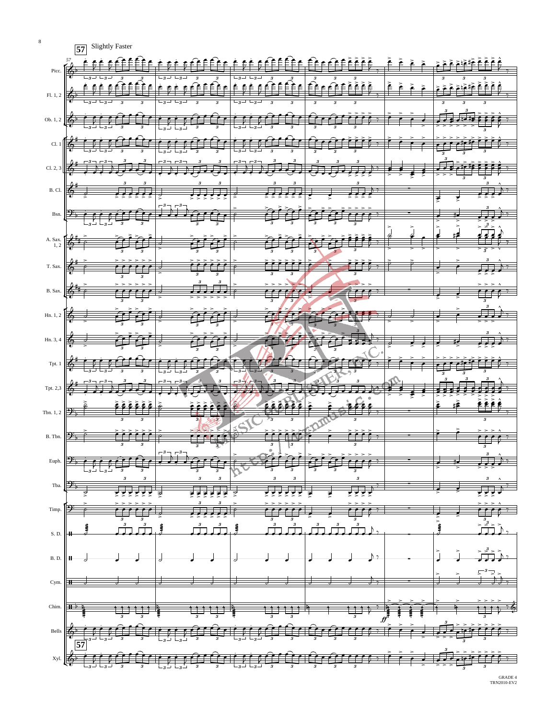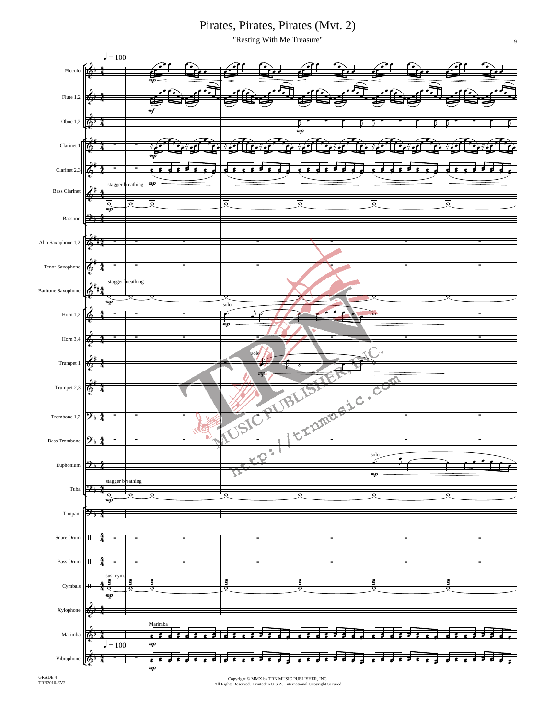#### Pirates, Pirates, Pirates (Mvt. 2)

"Resting With Me Treasure"

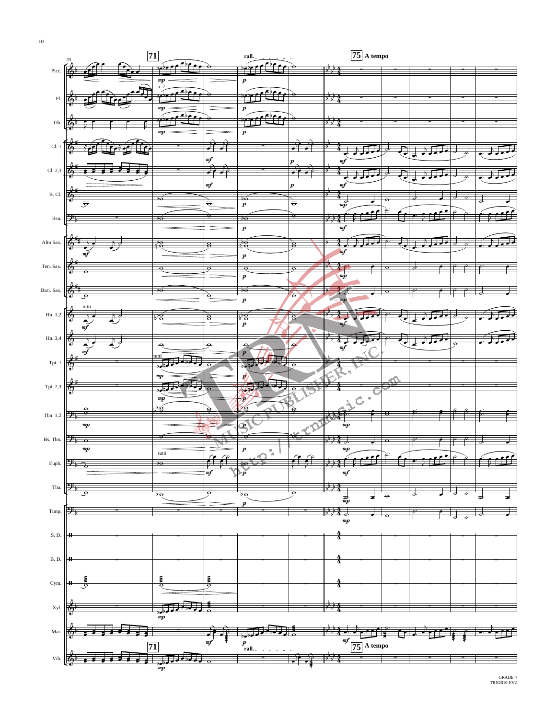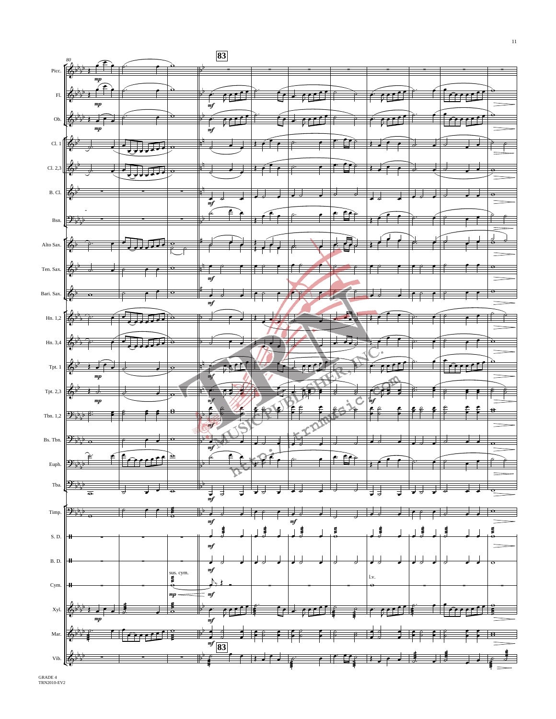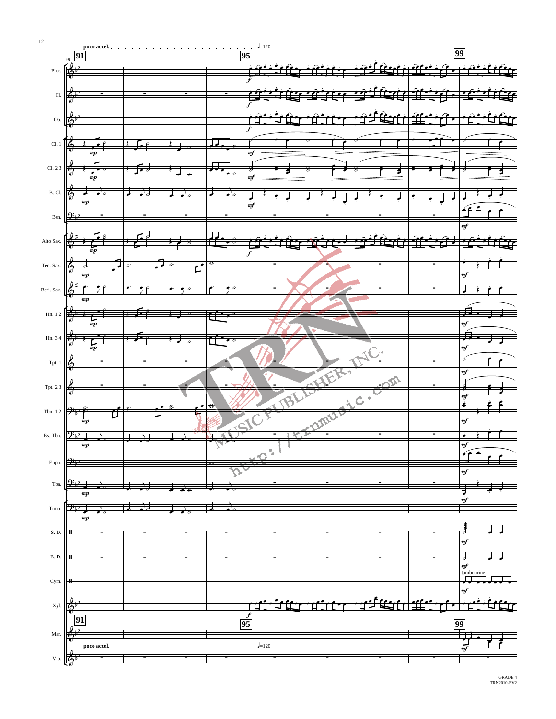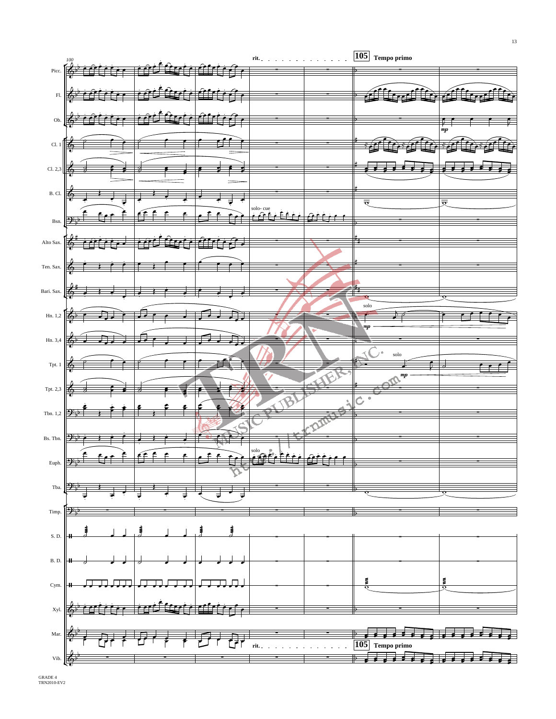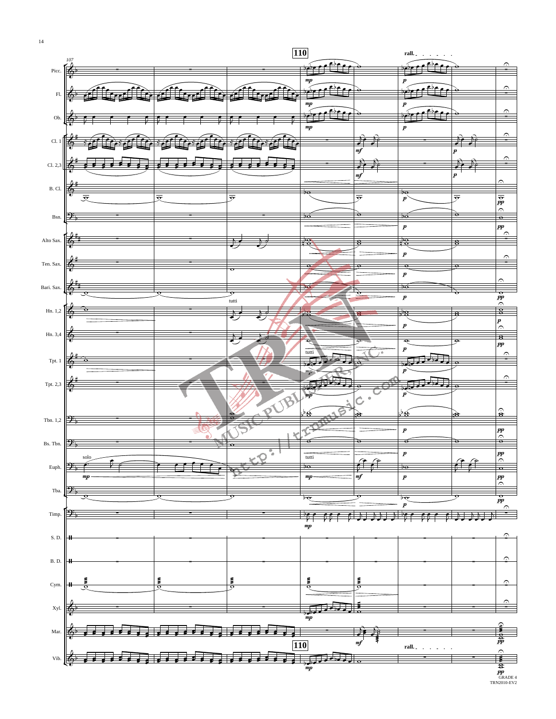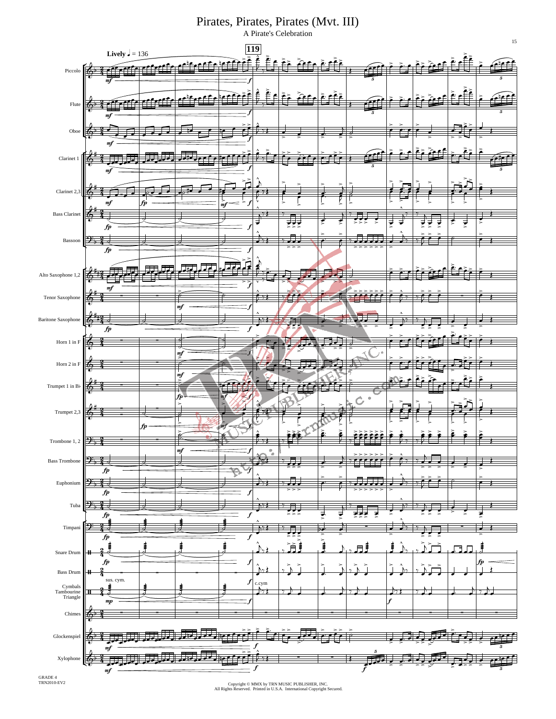

Copyright © MMX by TRN MUSIC PUBLISHER, INC. All Rights Reserved. Printed in U.S.A. International Copyright Secured.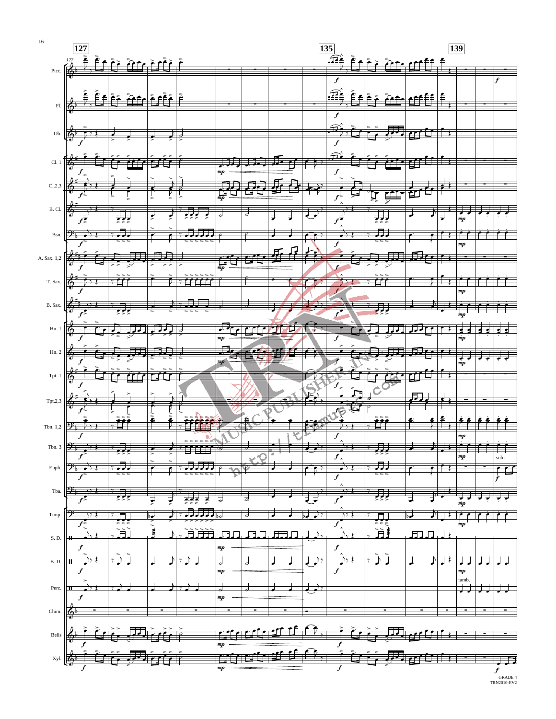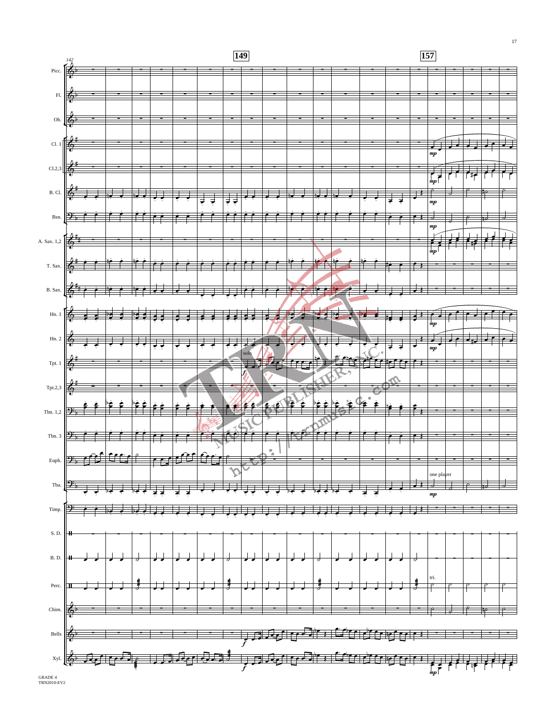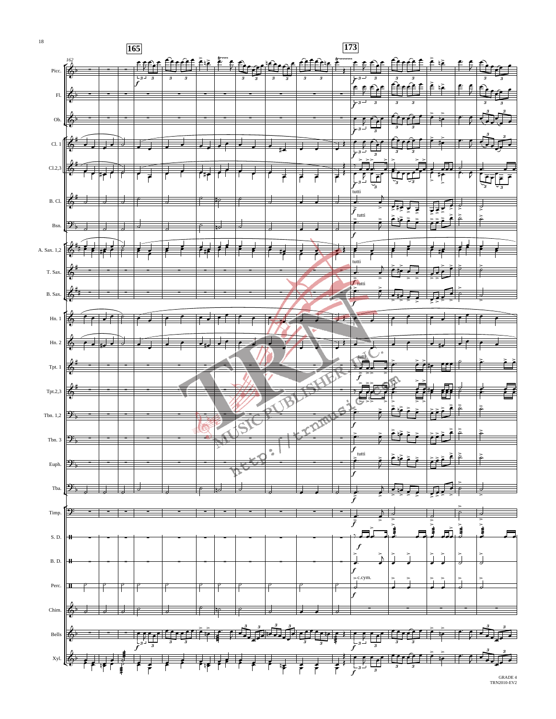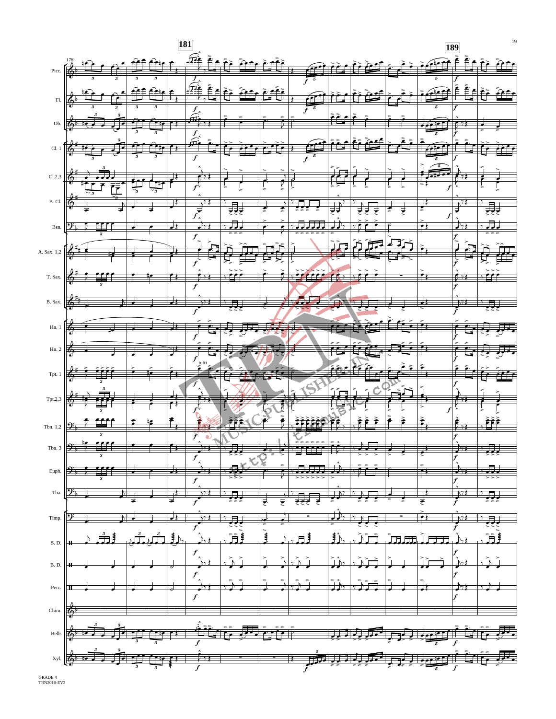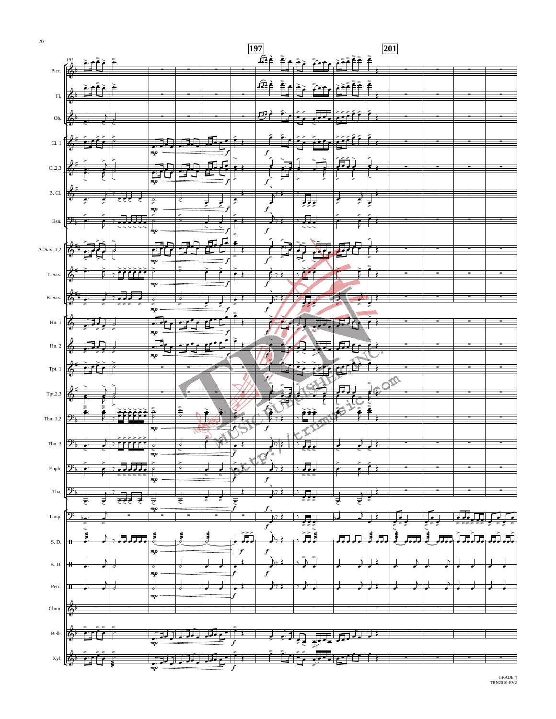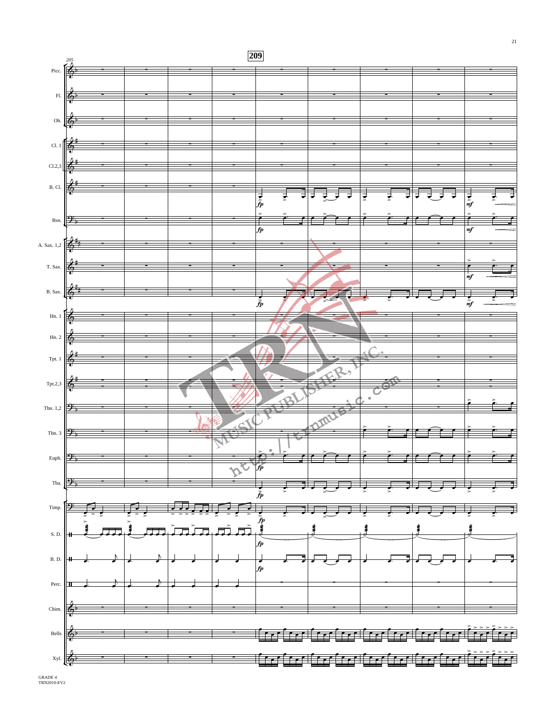